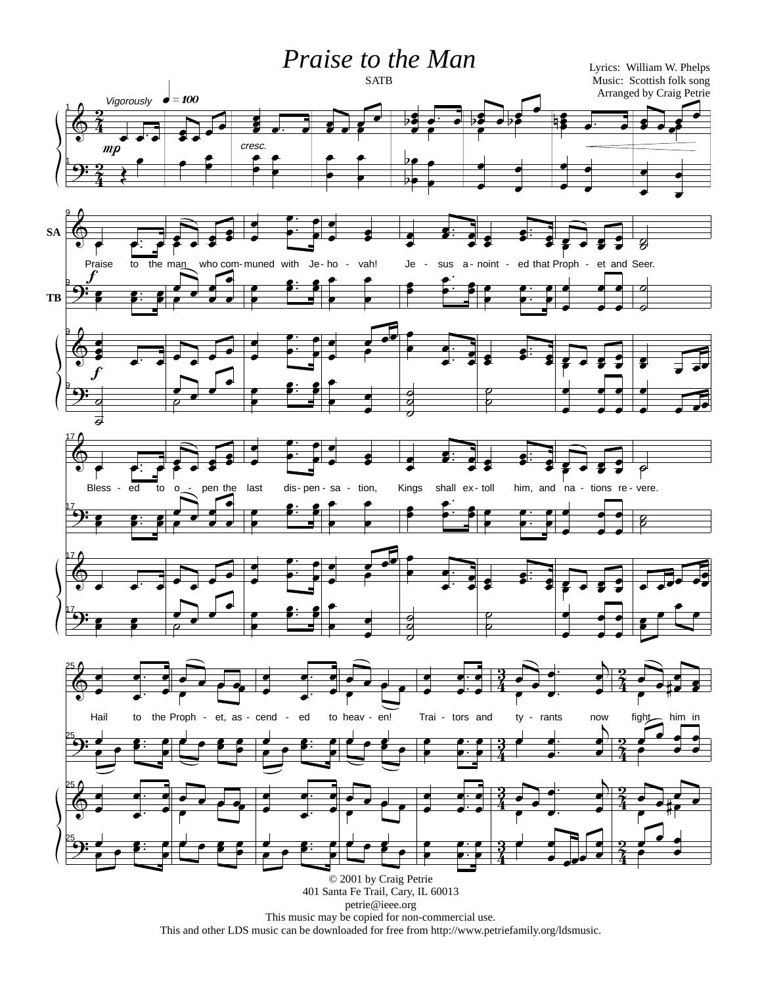## Praise to the Man



petrie@ieee.org This music may be copied for non-commercial use. This and other LDS music can be downloaded for free from http://www.petriefamily.org/ldsmusic.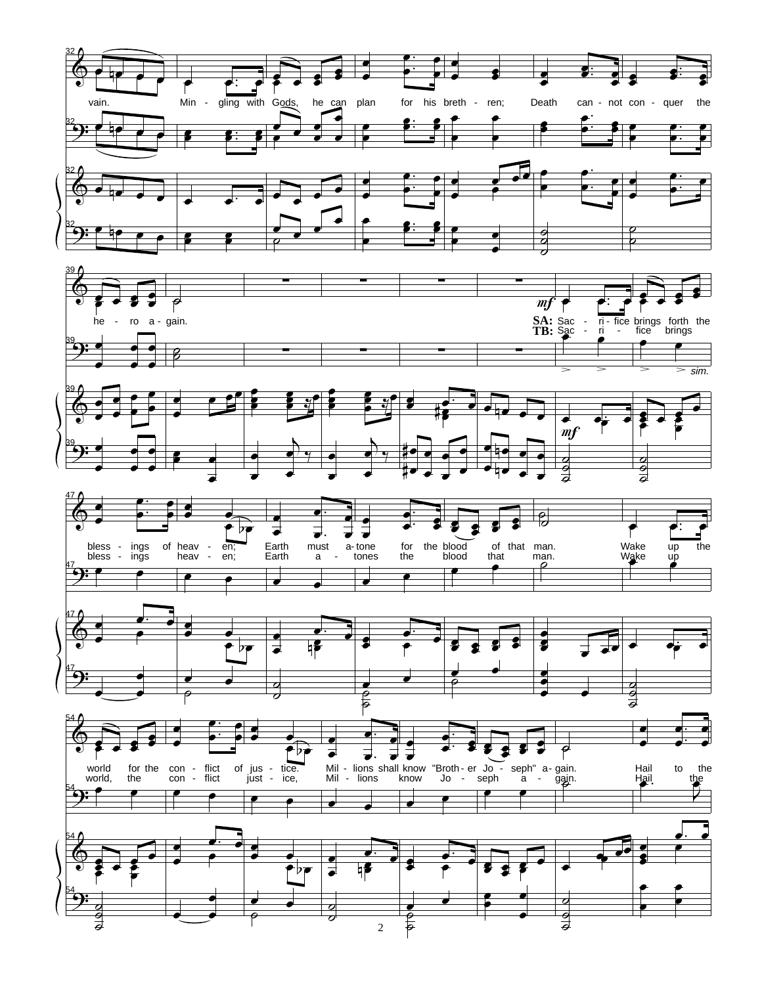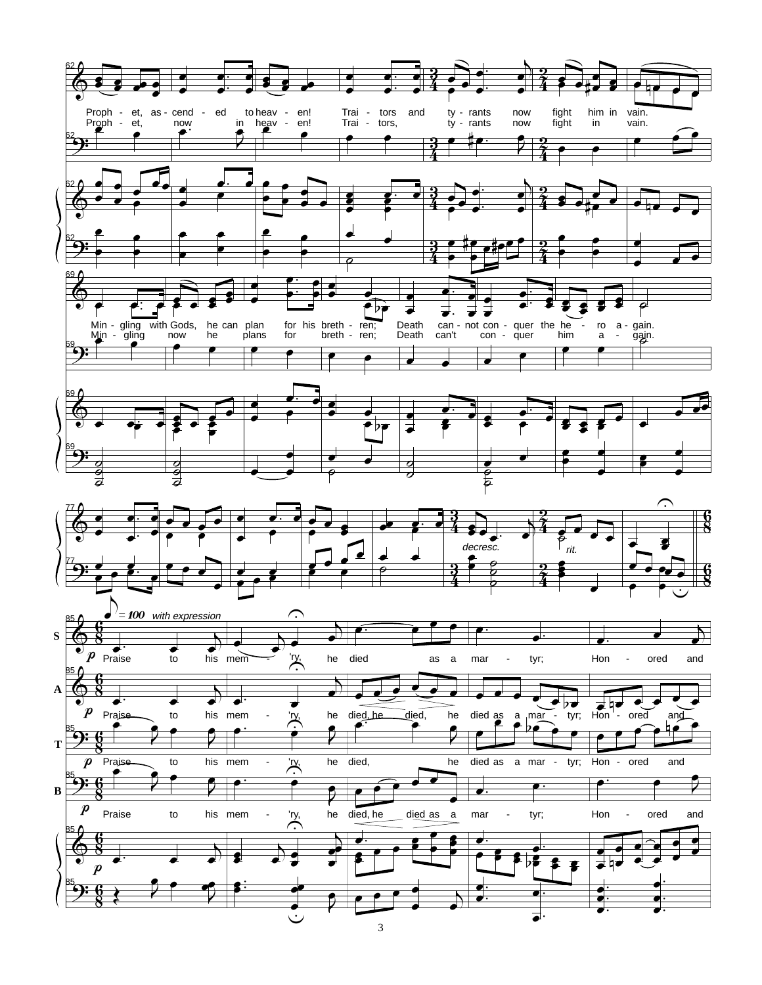

 $\overline{3}$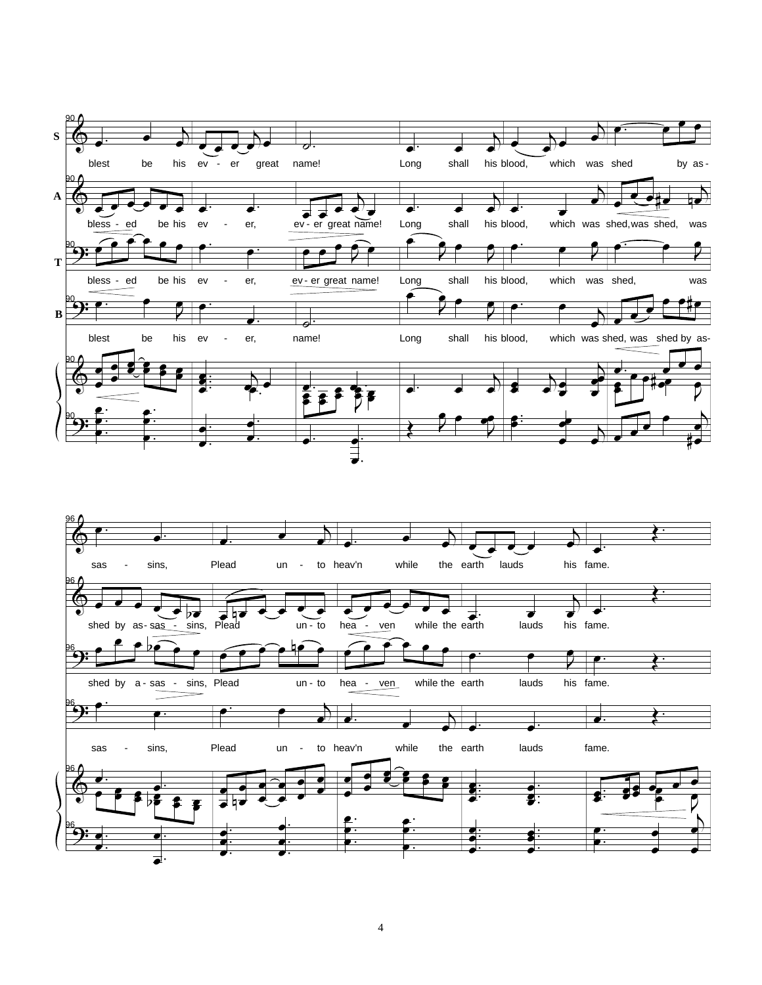

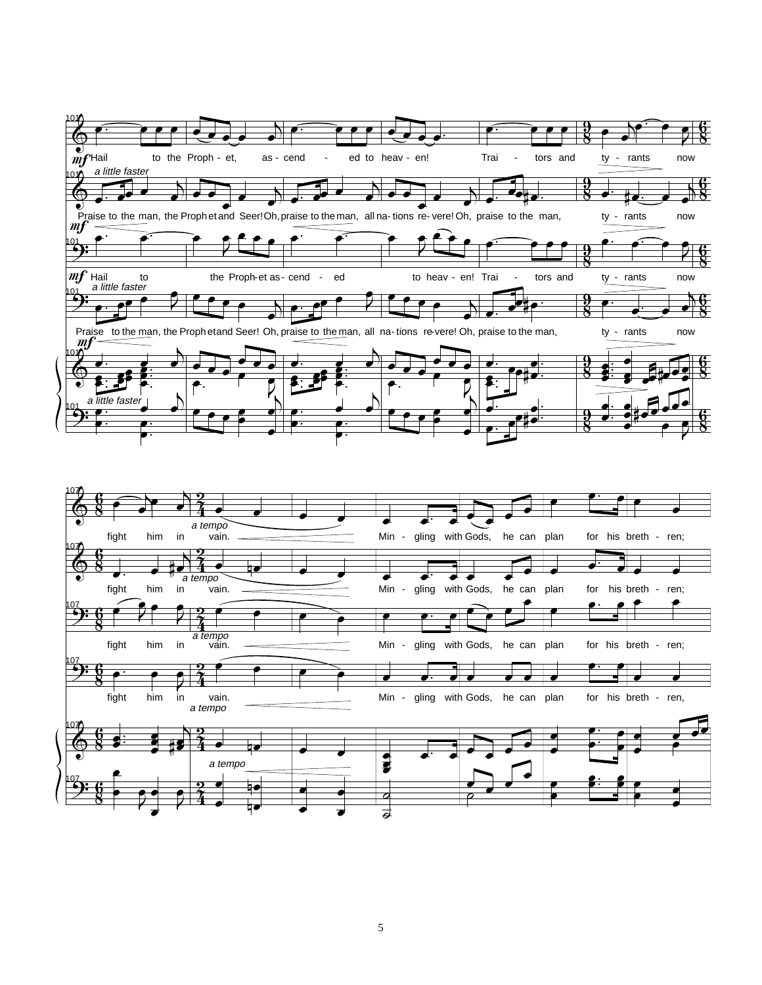

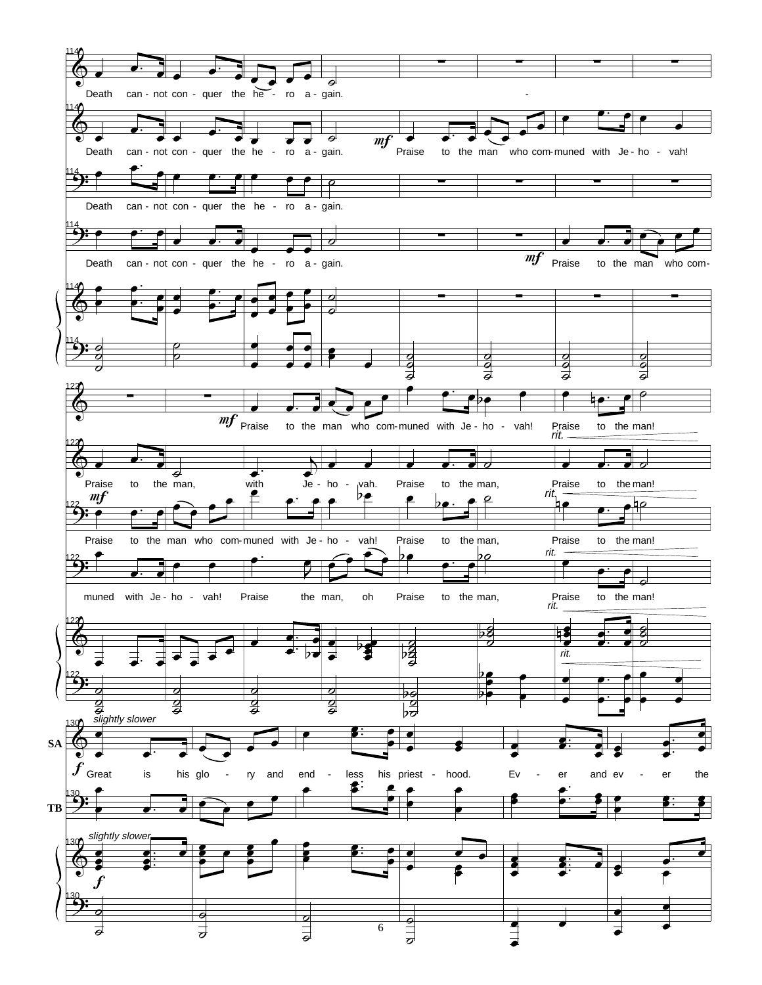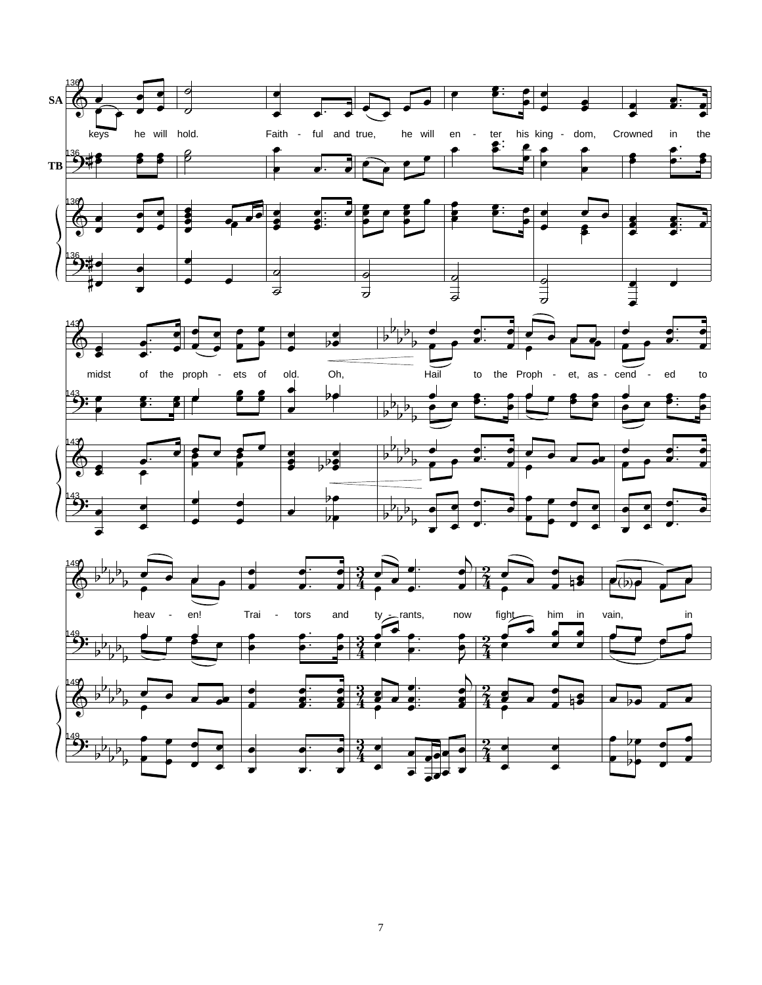